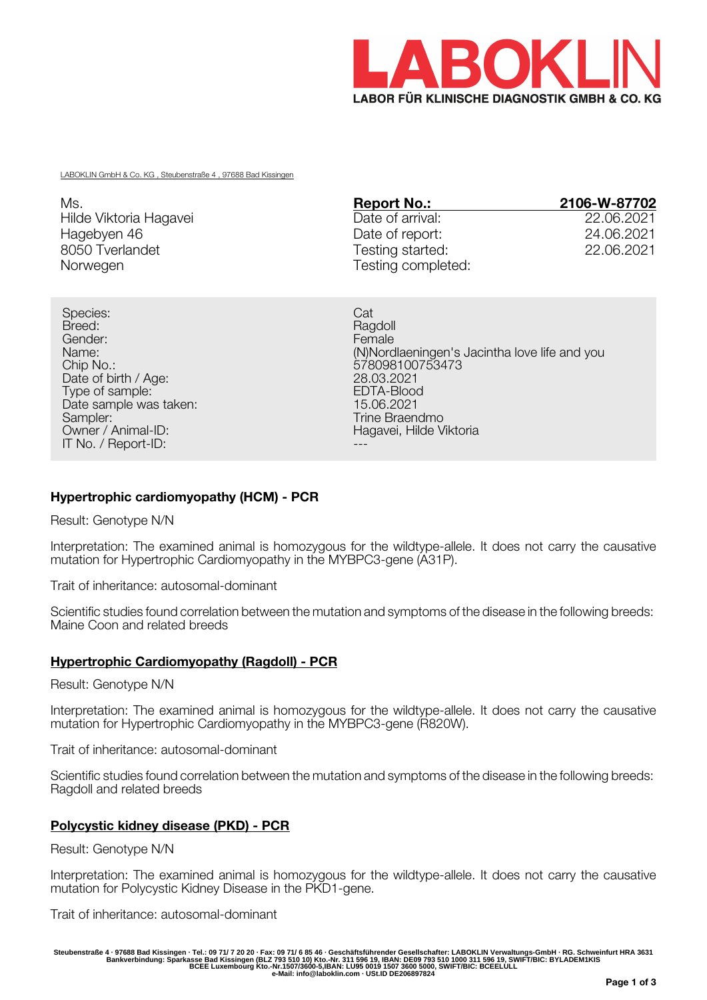

LABOKLIN GmbH & Co. KG , Steubenstraße 4 , 97688 Bad Kissingen

| Ms.                    | <b>Report No.:</b> | 2106-W-87702 |
|------------------------|--------------------|--------------|
| Hilde Viktoria Hagavei | Date of arrival:   | 22,06,2021   |
| Hagebyen 46            | Date of report:    | 24.06.2021   |
| 8050 Tverlandet        | Testing started:   | 22.06.2021   |
| Norwegen               | Testing completed: |              |

Species: Cat Breed: Ragdoll **Breed:** Ragdoll **Breed:** Ragdoll **Breed:** Ragdoll **Ragdoll** Gender: Female Chip No.: 578098100753473 Date of birth / Age: 28.03.2021<br>
Type of sample: 28.03.2021<br>
EDTA-Blood Type of sample: EDTA-Blood (EDTA-Blood (EDTA-Blood (EDTA-Blood )<br>Date sample was taken: EDTA-Blood (EDTA-Blood ) Date sample was taken:<br>Sampler: Sampler: Trine Braendmo<br>
Owner / Animal-ID: Trine Braendmo<br>
Hagavei, Hilde V IT No. / Report-ID:

Name: (N)Nordlaeningen's Jacintha love life and you Hagavei, Hilde Viktoria

# **Hypertrophic cardiomyopathy (HCM) - PCR**

Result: Genotype N/N

Interpretation: The examined animal is homozygous for the wildtype-allele. It does not carry the causative mutation for Hypertrophic Cardiomyopathy in the MYBPC3-gene (A31P).

Trait of inheritance: autosomal-dominant

Scientific studies found correlation between the mutation and symptoms of the disease in the following breeds: Maine Coon and related breeds

## **Hypertrophic Cardiomyopathy (Ragdoll) - PCR**

Result: Genotype N/N

Interpretation: The examined animal is homozygous for the wildtype-allele. It does not carry the causative mutation for Hypertrophic Cardiomyopathy in the MYBPC3-gene (R820W).

Trait of inheritance: autosomal-dominant

Scientific studies found correlation between the mutation and symptoms of the disease in the following breeds: Ragdoll and related breeds

## **Polycystic kidney disease (PKD) - PCR**

Result: Genotype N/N

Interpretation: The examined animal is homozygous for the wildtype-allele. It does not carry the causative mutation for Polycystic Kidney Disease in the PKD1-gene.

Trait of inheritance: autosomal-dominant

Steubenstraße 4 · 97688 Bad Kissingen · Tel.: 09 71/ 7 20 20 · Fax: 09 71/ 6 85 46 · Geschäftsführender Gesellschafter: LABOKLIN Verwaltungs-GmbH · RG. Schweinfurt HRA 3631<br>Bankverbindung: Sparkasse Bad Kissingen (BLZ 793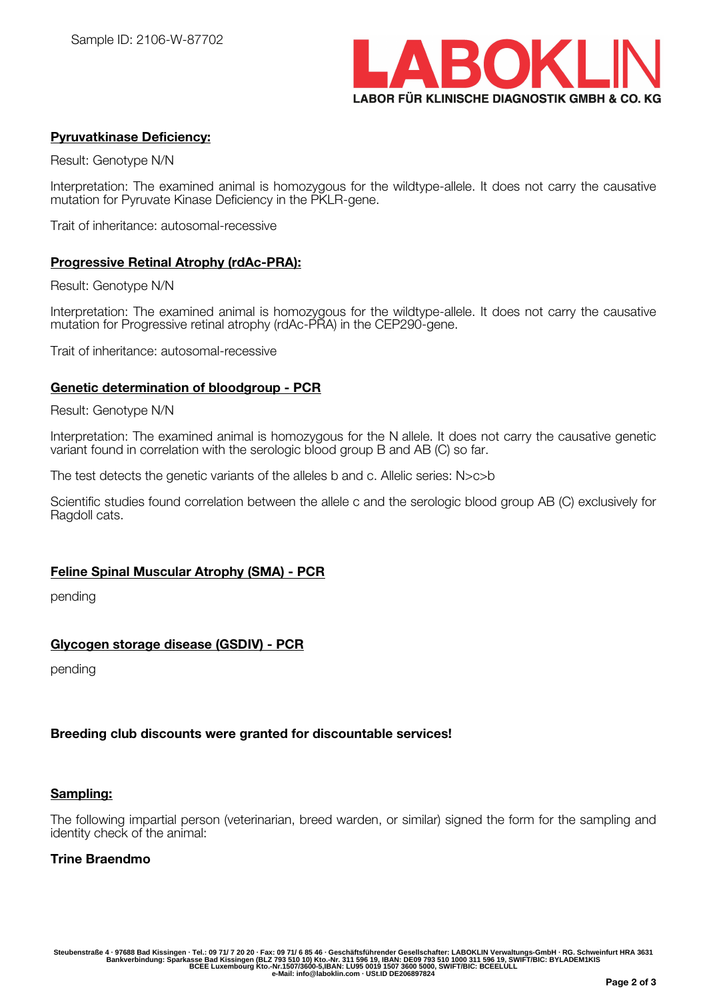

## **Pyruvatkinase Deficiency:**

Result: Genotype N/N

Interpretation: The examined animal is homozygous for the wildtype-allele. It does not carry the causative mutation for Pyruvate Kinase Deficiency in the PKLR-gene.

Trait of inheritance: autosomal-recessive

#### **Progressive Retinal Atrophy (rdAc-PRA):**

Result: Genotype N/N

Interpretation: The examined animal is homozygous for the wildtype-allele. It does not carry the causative mutation for Progressive retinal atrophy (rdAc-PRA) in the CEP290-gene.

Trait of inheritance: autosomal-recessive

#### **Genetic determination of bloodgroup - PCR**

Result: Genotype N/N

Interpretation: The examined animal is homozygous for the N allele. It does not carry the causative genetic variant found in correlation with the serologic blood group B and AB (C) so far.

The test detects the genetic variants of the alleles b and c. Allelic series: N>c>b

Scientific studies found correlation between the allele c and the serologic blood group AB (C) exclusively for Ragdoll cats.

## **Feline Spinal Muscular Atrophy (SMA) - PCR**

pending

## **Glycogen storage disease (GSDIV) - PCR**

pending

## **Breeding club discounts were granted for discountable services!**

#### **Sampling:**

The following impartial person (veterinarian, breed warden, or similar) signed the form for the sampling and identity check of the animal:

#### **Trine Braendmo**

Steubenstraße 4 · 97688 Bad Kissingen · Tel.: 09 71/ 7 20 20 · Fax: 09 71/ 6 85 46 · Geschäftsführender Gesellschafter: LABOKLIN Verwaltungs-GmbH · RG. Schweinfurt HRA 3631<br>Bankverbindung: Sparkasse Bad Kissingen (BLZ 793